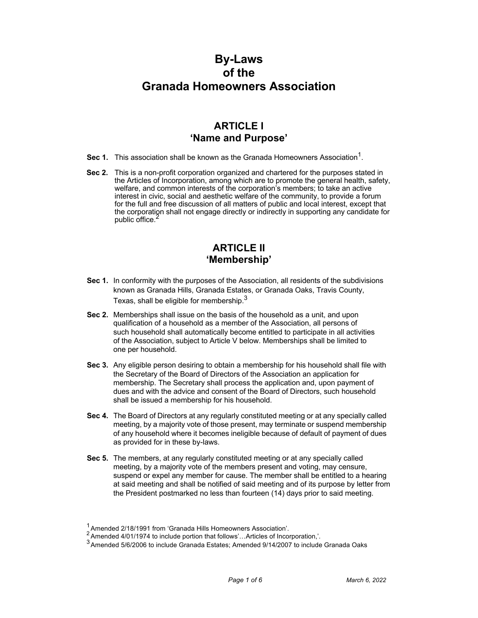# **By-Laws of the Granada Homeowners Association**

## **ARTICLE I 'Name and Purpose'**

- **Sec 1.** This association shall be known as the Granada Homeowners Association<sup>1</sup>.
- **Sec 2.** This is a non-profit corporation organized and chartered for the purposes stated in the Articles of Incorporation, among which are to promote the general health, safety, welfare, and common interests of the corporation's members; to take an active interest in civic, social and aesthetic welfare of the community, to provide a forum for the full and free discussion of all matters of public and local interest, except that the corporation shall not engage directly or indirectly in supporting any candidate for public office.

### **ARTICLE II 'Membership'**

- **Sec 1.** In conformity with the purposes of the Association, all residents of the subdivisions known as Granada Hills, Granada Estates, or Granada Oaks, Travis County, Texas, shall be eligible for membership.<sup>3</sup>
- **Sec 2.** Memberships shall issue on the basis of the household as a unit, and upon qualification of a household as a member of the Association, all persons of such household shall automatically become entitled to participate in all activities of the Association, subject to Article V below. Memberships shall be limited to one per household.
- **Sec 3.** Any eligible person desiring to obtain a membership for his household shall file with the Secretary of the Board of Directors of the Association an application for membership. The Secretary shall process the application and, upon payment of dues and with the advice and consent of the Board of Directors, such household shall be issued a membership for his household.
- **Sec 4.** The Board of Directors at any regularly constituted meeting or at any specially called meeting, by a majority vote of those present, may terminate or suspend membership of any household where it becomes ineligible because of default of payment of dues as provided for in these by-laws.
- **Sec 5.** The members, at any regularly constituted meeting or at any specially called meeting, by a majority vote of the members present and voting, may censure, suspend or expel any member for cause. The member shall be entitled to a hearing at said meeting and shall be notified of said meeting and of its purpose by letter from the President postmarked no less than fourteen (14) days prior to said meeting.

 $\frac{1}{2}$  Amended 2/18/1991 from 'Granada Hills Homeowners Association'.<br>  $\frac{2}{3}$  Amended 4/01/1974 to include portion that follows'...Articles of Incorporation,'.

<sup>2</sup> Amended 5/6/2006 to include Granada Estates; Amended 9/14/2007 to include Granada Oaks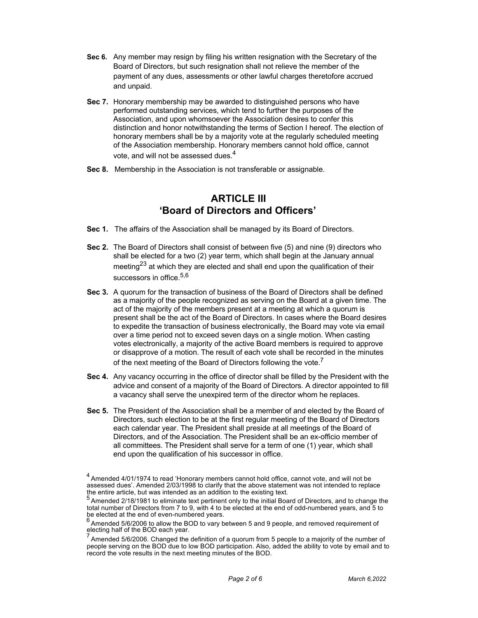- **Sec 6.** Any member may resign by filing his written resignation with the Secretary of the Board of Directors, but such resignation shall not relieve the member of the payment of any dues, assessments or other lawful charges theretofore accrued and unpaid.
- **Sec 7.** Honorary membership may be awarded to distinguished persons who have performed outstanding services, which tend to further the purposes of the Association, and upon whomsoever the Association desires to confer this distinction and honor notwithstanding the terms of Section I hereof. The election of honorary members shall be by a majority vote at the regularly scheduled meeting of the Association membership. Honorary members cannot hold office, cannot vote, and will not be assessed dues.<sup>4</sup>
- **Sec 8.** Membership in the Association is not transferable or assignable.

### **ARTICLE III 'Board of Directors and Officers'**

- **Sec 1.** The affairs of the Association shall be managed by its Board of Directors.
- **Sec 2.** The Board of Directors shall consist of between five (5) and nine (9) directors who shall be elected for a two (2) year term, which shall begin at the January annual meeting<sup>23</sup> at which they are elected and shall end upon the qualification of their successors in office.<sup>5,6</sup>
- **Sec 3.** A quorum for the transaction of business of the Board of Directors shall be defined as a majority of the people recognized as serving on the Board at a given time. The act of the majority of the members present at a meeting at which a quorum is present shall be the act of the Board of Directors. In cases where the Board desires to expedite the transaction of business electronically, the Board may vote via email over a time period not to exceed seven days on a single motion. When casting votes electronically, a majority of the active Board members is required to approve or disapprove of a motion. The result of each vote shall be recorded in the minutes of the next meeting of the Board of Directors following the vote.<sup>7</sup>
- **Sec 4.** Any vacancy occurring in the office of director shall be filled by the President with the advice and consent of a majority of the Board of Directors. A director appointed to fill a vacancy shall serve the unexpired term of the director whom he replaces.
- **Sec 5.** The President of the Association shall be a member of and elected by the Board of Directors, such election to be at the first regular meeting of the Board of Directors each calendar year. The President shall preside at all meetings of the Board of Directors, and of the Association. The President shall be an ex-officio member of all committees. The President shall serve for a term of one (1) year, which shall end upon the qualification of his successor in office.

 $^4$  Amended 4/01/1974 to read 'Honorary members cannot hold office, cannot vote, and will not be assessed dues'. Amended 2/03/1998 to clarify that the above statement was not intended to replace the entire article, but was intended as an addition to the existing text.<br><sup>5</sup> Amended 2/18/1981 to eliminate text pertinent only to the initial Board of Directors, and to change the

total number of Directors from 7 to 9, with 4 to be elected at the end of odd-numbered years, and 5 to

be elected at the end of even-numbered years.<br><sup>6</sup> Amended 5/6/2006 to allow the BOD to vary between 5 and 9 people, and removed requirement of electing half of the BOD each year.

 $<sup>7</sup>$  Amended 5/6/2006. Changed the definition of a quorum from 5 people to a majority of the number of</sup> people serving on the BOD due to low BOD participation. Also, added the ability to vote by email and to record the vote results in the next meeting minutes of the BOD.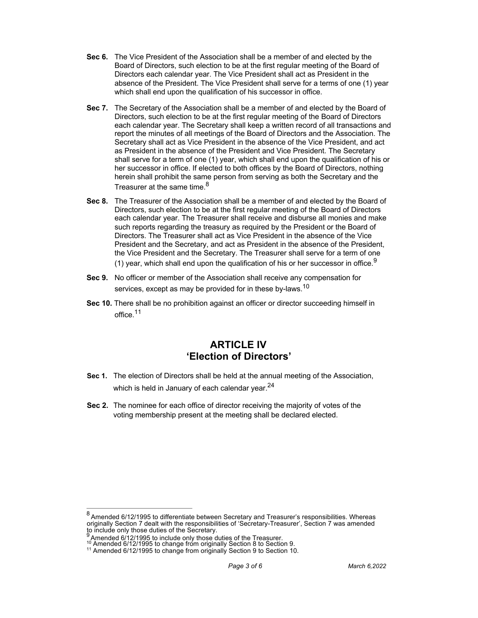- **Sec 6.** The Vice President of the Association shall be a member of and elected by the Board of Directors, such election to be at the first regular meeting of the Board of Directors each calendar year. The Vice President shall act as President in the absence of the President. The Vice President shall serve for a terms of one (1) year which shall end upon the qualification of his successor in office.
- **Sec 7.** The Secretary of the Association shall be a member of and elected by the Board of Directors, such election to be at the first regular meeting of the Board of Directors each calendar year. The Secretary shall keep a written record of all transactions and report the minutes of all meetings of the Board of Directors and the Association. The Secretary shall act as Vice President in the absence of the Vice President, and act as President in the absence of the President and Vice President. The Secretary shall serve for a term of one (1) year, which shall end upon the qualification of his or her successor in office. If elected to both offices by the Board of Directors, nothing herein shall prohibit the same person from serving as both the Secretary and the Treasurer at the same time. $8<sup>8</sup>$
- **Sec 8.** The Treasurer of the Association shall be a member of and elected by the Board of Directors, such election to be at the first regular meeting of the Board of Directors each calendar year. The Treasurer shall receive and disburse all monies and make such reports regarding the treasury as required by the President or the Board of Directors. The Treasurer shall act as Vice President in the absence of the Vice President and the Secretary, and act as President in the absence of the President, the Vice President and the Secretary. The Treasurer shall serve for a term of one
	- (1) year, which shall end upon the qualification of his or her successor in office.<sup>9</sup>
- **Sec 9.** No officer or member of the Association shall receive any compensation for services, except as may be provided for in these by-laws.<sup>10</sup>
- **Sec 10.** There shall be no prohibition against an officer or director succeeding himself in office.11

#### **ARTICLE IV 'Election of Directors'**

- **Sec 1.** The election of Directors shall be held at the annual meeting of the Association, which is held in January of each calendar year. $^{24}$
- **Sec 2.** The nominee for each office of director receiving the majority of votes of the voting membership present at the meeting shall be declared elected.

<sup>8</sup> Amended 6/12/1995 to differentiate between Secretary and Treasurer's responsibilities. Whereas originally Section 7 dealt with the responsibilities of 'Secretary-Treasurer', Section 7 was amended to include only those duties of the Secretary.

<sup>&</sup>lt;sup>9</sup> Amended 6/12/1995 to include only those duties of the Treasurer.<br><sup>10</sup> Amended 6/12/1995 to change from originally Section 8 to Section 9.<br><sup>11</sup> Amended 6/12/1995 to change from originally Section 9 to Section 10.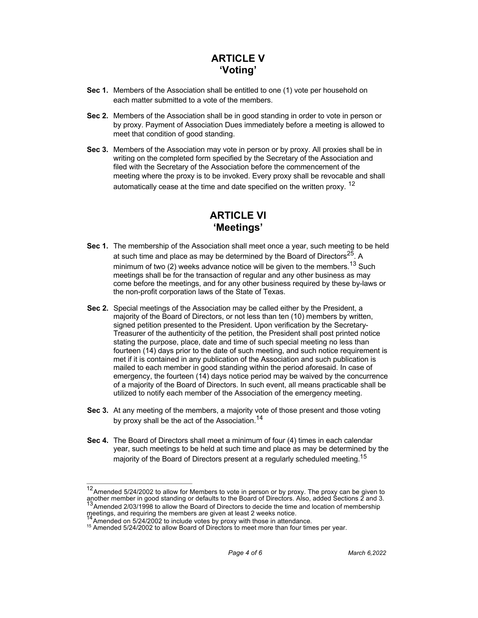# **ARTICLE V 'Voting'**

- **Sec 1.** Members of the Association shall be entitled to one (1) vote per household on each matter submitted to a vote of the members.
- **Sec 2.** Members of the Association shall be in good standing in order to vote in person or by proxy. Payment of Association Dues immediately before a meeting is allowed to meet that condition of good standing.
- **Sec 3.** Members of the Association may vote in person or by proxy. All proxies shall be in writing on the completed form specified by the Secretary of the Association and filed with the Secretary of the Association before the commencement of the meeting where the proxy is to be invoked. Every proxy shall be revocable and shall automatically cease at the time and date specified on the written proxy. <sup>12</sup>

# **ARTICLE VI 'Meetings'**

- **Sec 1.** The membership of the Association shall meet once a year, such meeting to be held at such time and place as may be determined by the Board of Directors $25$ . A minimum of two (2) weeks advance notice will be given to the members.<sup>13</sup> Such meetings shall be for the transaction of regular and any other business as may come before the meetings, and for any other business required by these by-laws or the non-profit corporation laws of the State of Texas.
- **Sec 2.** Special meetings of the Association may be called either by the President, a majority of the Board of Directors, or not less than ten (10) members by written, signed petition presented to the President. Upon verification by the Secretary-Treasurer of the authenticity of the petition, the President shall post printed notice stating the purpose, place, date and time of such special meeting no less than fourteen (14) days prior to the date of such meeting, and such notice requirement is met if it is contained in any publication of the Association and such publication is mailed to each member in good standing within the period aforesaid. In case of emergency, the fourteen (14) days notice period may be waived by the concurrence of a majority of the Board of Directors. In such event, all means practicable shall be utilized to notify each member of the Association of the emergency meeting.
- **Sec 3.** At any meeting of the members, a majority vote of those present and those voting by proxy shall be the act of the Association.<sup>14</sup>
- **Sec 4.** The Board of Directors shall meet a minimum of four (4) times in each calendar year, such meetings to be held at such time and place as may be determined by the majority of the Board of Directors present at a regularly scheduled meeting.<sup>15</sup>

 $12$  Amended 5/24/2002 to allow for Members to vote in person or by proxy. The proxy can be given to another member in good standing or defaults to the Board of Directors. Also, added Sections 2 and 3. <sup>13</sup> Amended 2/03/1998 to allow the Board of Directors to decide the time and location of membership

meetings, and requiring the members are given at least 2 weeks notice.<br><sup>14</sup> Amended on 5/24/2002 to include votes by proxy with those in attendance.

<sup>&</sup>lt;sup>15</sup> Amended 5/24/2002 to allow Board of Directors to meet more than four times per year.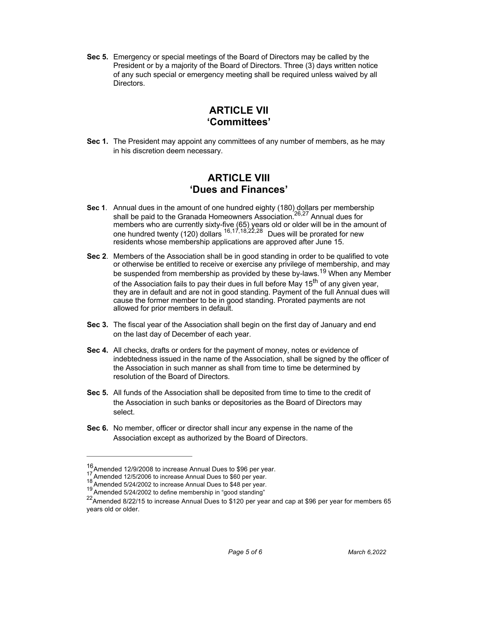**Sec 5.** Emergency or special meetings of the Board of Directors may be called by the President or by a majority of the Board of Directors. Three (3) days written notice of any such special or emergency meeting shall be required unless waived by all Directors.

#### **ARTICLE VII 'Committees'**

**Sec 1.** The President may appoint any committees of any number of members, as he may in his discretion deem necessary.

#### **ARTICLE VIII 'Dues and Finances'**

- **Sec 1**. Annual dues in the amount of one hundred eighty (180) dollars per membership shall be paid to the Granada Homeowners Association.<sup>26,27</sup> Annual dues for members who are currently sixty-five (65) years old or older will be in the amount of one hundred twenty (120) dollars  $^{16,17,18,22,28}$  Dues will be prorated for new residents whose membership applications are approved after June 15.
- **Sec 2**. Members of the Association shall be in good standing in order to be qualified to vote or otherwise be entitled to receive or exercise any privilege of membership, and may be suspended from membership as provided by these by-laws.<sup>19</sup> When any Member of the Association fails to pay their dues in full before May  $15<sup>th</sup>$  of any given year, they are in default and are not in good standing. Payment of the full Annual dues will cause the former member to be in good standing. Prorated payments are not allowed for prior members in default.
- **Sec 3.** The fiscal year of the Association shall begin on the first day of January and end on the last day of December of each year.
- **Sec 4.** All checks, drafts or orders for the payment of money, notes or evidence of indebtedness issued in the name of the Association, shall be signed by the officer of the Association in such manner as shall from time to time be determined by resolution of the Board of Directors.
- **Sec 5.** All funds of the Association shall be deposited from time to time to the credit of the Association in such banks or depositories as the Board of Directors may select.
- **Sec 6.** No member, officer or director shall incur any expense in the name of the Association except as authorized by the Board of Directors.

 $^{16}$ Amended 12/9/2008 to increase Annual Dues to \$96 per year.<br>
<sup>17</sup> Amended 12/5/2006 to increase Annual Dues to \$60 per year.<br>
<sup>18</sup> Amended 5/24/2002 to increase Annual Dues to \$48 per year.<br>
<sup>19</sup> Amended 5/24/2002 to

 $^{22}$ Amended 8/22/15 to increase Annual Dues to \$120 per year and cap at \$96 per year for members 65 years old or older.